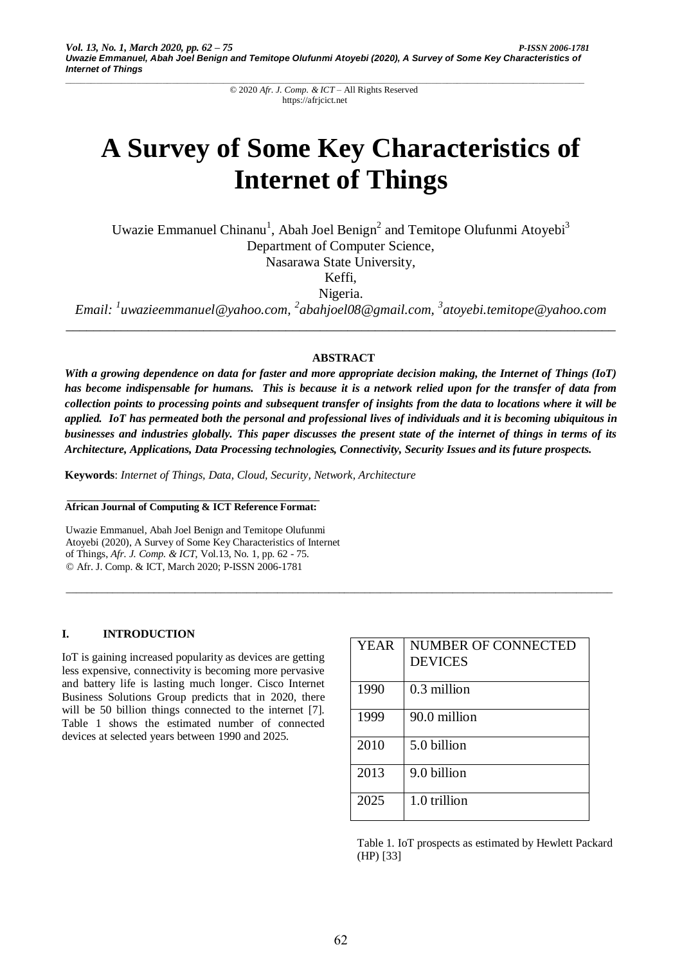# **A Survey of Some Key Characteristics of Internet of Things**

Uwazie Emmanuel Chinanu<sup>1</sup>, Abah Joel Benign<sup>2</sup> and Temitope Olufunmi Atoyebi<sup>3</sup> Department of Computer Science, Nasarawa State University,

Keffi,

Nigeria.

*Email: <sup>1</sup> uwazieemmanuel@yahoo.com, 2 abahjoel08@gmail.com, 3 atoyebi.temitope@yahoo.com \_\_\_\_\_\_\_\_\_\_\_\_\_\_\_\_\_\_\_\_\_\_\_\_\_\_\_\_\_\_\_\_\_\_\_\_\_\_\_\_\_\_\_\_\_\_\_\_\_\_\_\_\_\_\_\_\_\_\_\_\_\_\_\_\_\_\_\_\_\_\_\_\_\_\_\_\_\_\_\_*

# **ABSTRACT**

*With a growing dependence on data for faster and more appropriate decision making, the Internet of Things (IoT) has become indispensable for humans. This is because it is a network relied upon for the transfer of data from collection points to processing points and subsequent transfer of insights from the data to locations where it will be applied. IoT has permeated both the personal and professional lives of individuals and it is becoming ubiquitous in businesses and industries globally. This paper discusses the present state of the internet of things in terms of its Architecture, Applications, Data Processing technologies, Connectivity, Security Issues and its future prospects.*

\_\_\_\_\_\_\_\_\_\_\_\_\_\_\_\_\_\_\_\_\_\_\_\_\_\_\_\_\_\_\_\_\_\_\_\_\_\_\_\_\_\_\_\_\_\_\_\_\_\_\_\_\_\_\_\_\_\_\_\_\_\_\_\_\_\_\_\_\_\_\_\_\_\_\_\_\_\_\_\_\_\_\_\_\_\_\_\_\_\_\_\_\_\_\_\_\_\_\_\_\_\_\_\_\_\_

**Keywords**: *Internet of Things, Data, Cloud, Security, Network, Architecture*

#### **African Journal of Computing & ICT Reference Format:**

Uwazie Emmanuel, Abah Joel Benign and Temitope Olufunmi Atoyebi (2020), A Survey of Some Key Characteristics of Internet of Things, *Afr. J. Comp. & ICT*, Vol.13, No. 1, pp. 62 - 75. © Afr. J. Comp. & ICT, March 2020; P-ISSN 2006-1781

# **I. INTRODUCTION**

IoT is gaining increased popularity as devices are getting less expensive, connectivity is becoming more pervasive and battery life is lasting much longer. Cisco Internet Business Solutions Group predicts that in 2020, there will be 50 billion things connected to the internet [7]. Table 1 shows the estimated number of connected devices at selected years between 1990 and 2025.

| <b>YEAR</b> | <b>NUMBER OF CONNECTED</b><br><b>DEVICES</b> |
|-------------|----------------------------------------------|
| 1990        | 0.3 million                                  |
| 1999        | 90.0 million                                 |
| 2010        | 5.0 billion                                  |
| 2013        | 9.0 billion                                  |
| 2025        | 1.0 trillion                                 |

Table 1. IoT prospects as estimated by Hewlett Packard (HP) [33]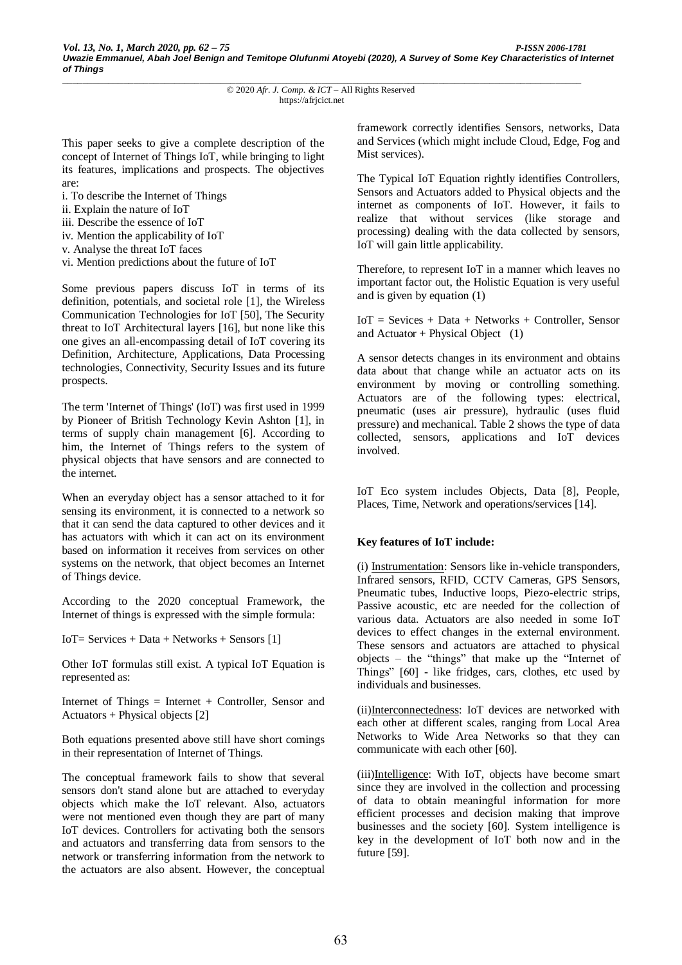This paper seeks to give a complete description of the concept of Internet of Things IoT, while bringing to light its features, implications and prospects. The objectives are:

- i. To describe the Internet of Things
- ii. Explain the nature of IoT
- iii. Describe the essence of IoT
- iv. Mention the applicability of IoT
- v. Analyse the threat IoT faces
- vi. Mention predictions about the future of IoT

Some previous papers discuss IoT in terms of its definition, potentials, and societal role [1], the Wireless Communication Technologies for IoT [50], The Security threat to IoT Architectural layers [16], but none like this one gives an all-encompassing detail of IoT covering its Definition, Architecture, Applications, Data Processing technologies, Connectivity, Security Issues and its future prospects.

The term 'Internet of Things' (IoT) was first used in 1999 by Pioneer of British Technology Kevin Ashton [1], in terms of supply chain management [6]. According to him, the Internet of Things refers to the system of physical objects that have sensors and are connected to the internet.

When an everyday object has a sensor attached to it for sensing its environment, it is connected to a network so that it can send the data captured to other devices and it has actuators with which it can act on its environment based on information it receives from services on other systems on the network, that object becomes an Internet of Things device.

According to the 2020 conceptual Framework, the Internet of things is expressed with the simple formula:

IoT= Services + Data + Networks + Sensors [1]

Other IoT formulas still exist. A typical IoT Equation is represented as:

Internet of Things = Internet + Controller, Sensor and Actuators + Physical objects [2]

Both equations presented above still have short comings in their representation of Internet of Things.

The conceptual framework fails to show that several sensors don't stand alone but are attached to everyday objects which make the IoT relevant. Also, actuators were not mentioned even though they are part of many IoT devices. Controllers for activating both the sensors and actuators and transferring data from sensors to the network or transferring information from the network to the actuators are also absent. However, the conceptual framework correctly identifies Sensors, networks, Data and Services (which might include Cloud, Edge, Fog and Mist services).

The Typical IoT Equation rightly identifies Controllers, Sensors and Actuators added to Physical objects and the internet as components of IoT. However, it fails to realize that without services (like storage and processing) dealing with the data collected by sensors, IoT will gain little applicability.

Therefore, to represent IoT in a manner which leaves no important factor out, the Holistic Equation is very useful and is given by equation (1)

IoT = Sevices + Data + Networks + Controller, Sensor and Actuator + Physical Object  $(1)$ 

A sensor detects changes in its environment and obtains data about that change while an actuator acts on its environment by moving or controlling something. Actuators are of the following types: electrical, pneumatic (uses air pressure), hydraulic (uses fluid pressure) and mechanical. Table 2 shows the type of data collected, sensors, applications and IoT devices involved.

IoT Eco system includes Objects, Data [8], People, Places, Time, Network and operations/services [14].

#### **Key features of IoT include:**

(i) Instrumentation: Sensors like in-vehicle transponders, Infrared sensors, RFID, CCTV Cameras, GPS Sensors, Pneumatic tubes, Inductive loops, Piezo-electric strips, Passive acoustic, etc are needed for the collection of various data. Actuators are also needed in some IoT devices to effect changes in the external environment. These sensors and actuators are attached to physical objects – the "things" that make up the "Internet of Things" [60] - like fridges, cars, clothes, etc used by individuals and businesses.

(ii)Interconnectedness: IoT devices are networked with each other at different scales, ranging from Local Area Networks to Wide Area Networks so that they can communicate with each other [60].

(iii)Intelligence: With IoT, objects have become smart since they are involved in the collection and processing of data to obtain meaningful information for more efficient processes and decision making that improve businesses and the society [60]. System intelligence is key in the development of IoT both now and in the future [59].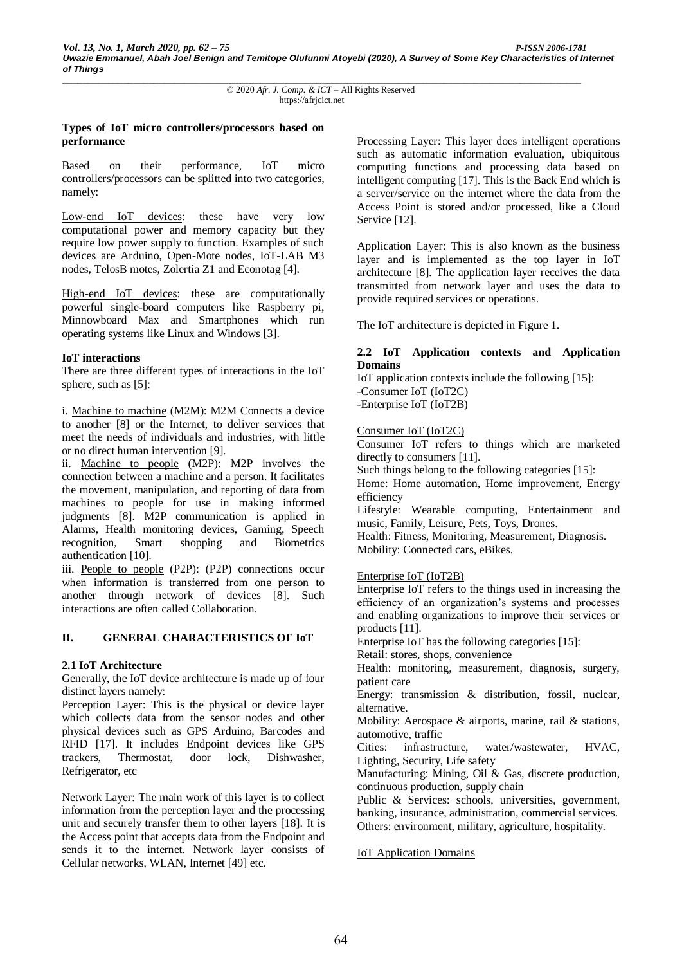## **Types of IoT micro controllers/processors based on performance**

Based on their performance, IoT micro controllers/processors can be splitted into two categories, namely:

Low-end IoT devices: these have very low computational power and memory capacity but they require low power supply to function. Examples of such devices are Arduino, Open-Mote nodes, IoT-LAB M3 nodes, TelosB motes, Zolertia Z1 and Econotag [4].

High-end IoT devices: these are computationally powerful single-board computers like Raspberry pi, Minnowboard Max and Smartphones which run operating systems like Linux and Windows [3].

## **IoT interactions**

There are three different types of interactions in the IoT sphere, such as [5]:

i. Machine to machine (M2M): M2M Connects a device to another [8] or the Internet, to deliver services that meet the needs of individuals and industries, with little or no direct human intervention [9].

ii. Machine to people (M2P): M2P involves the connection between a machine and a person. It facilitates the movement, manipulation, and reporting of data from machines to people for use in making informed judgments [8]. M2P communication is applied in Alarms, Health monitoring devices, Gaming, Speech recognition, Smart shopping and Biometrics authentication [10].

iii. People to people (P2P): (P2P) connections occur when information is transferred from one person to another through network of devices [8]. Such interactions are often called Collaboration.

#### **II. GENERAL CHARACTERISTICS OF IoT**

#### **2.1 IoT Architecture**

Generally, the IoT device architecture is made up of four distinct layers namely:

Perception Layer: This is the physical or device layer which collects data from the sensor nodes and other physical devices such as GPS Arduino, Barcodes and RFID [17]. It includes Endpoint devices like GPS trackers, Thermostat, door lock, Dishwasher, Refrigerator, etc

Network Layer: The main work of this layer is to collect information from the perception layer and the processing unit and securely transfer them to other layers [18]. It is the Access point that accepts data from the Endpoint and sends it to the internet. Network layer consists of Cellular networks, WLAN, Internet [49] etc.

Processing Layer: This layer does intelligent operations such as automatic information evaluation, ubiquitous computing functions and processing data based on intelligent computing [17]. This is the Back End which is a server/service on the internet where the data from the Access Point is stored and/or processed, like a Cloud Service [12].

Application Layer: This is also known as the business layer and is implemented as the top layer in IoT architecture [8]. The application layer receives the data transmitted from network layer and uses the data to provide required services or operations.

The IoT architecture is depicted in Figure 1.

## **2.2 IoT Application contexts and Application Domains**

IoT application contexts include the following [15]: -Consumer IoT (IoT2C) -Enterprise IoT (IoT2B)

#### Consumer IoT (IoT2C)

Consumer IoT refers to things which are marketed directly to consumers [11].

Such things belong to the following categories [15]:

Home: Home automation, Home improvement, Energy efficiency

Lifestyle: Wearable computing, Entertainment and music, Family, Leisure, Pets, Toys, Drones.

Health: Fitness, Monitoring, Measurement, Diagnosis. Mobility: Connected cars, eBikes.

#### Enterprise IoT (IoT2B)

Enterprise IoT refers to the things used in increasing the efficiency of an organization's systems and processes and enabling organizations to improve their services or products [11].

Enterprise IoT has the following categories [15]:

Retail: stores, shops, convenience

Health: monitoring, measurement, diagnosis, surgery, patient care

Energy: transmission & distribution, fossil, nuclear, alternative.

Mobility: Aerospace & airports, marine, rail & stations, automotive, traffic

Cities: infrastructure, water/wastewater, HVAC, Lighting, Security, Life safety

Manufacturing: Mining, Oil & Gas, discrete production, continuous production, supply chain

Public & Services: schools, universities, government, banking, insurance, administration, commercial services. Others: environment, military, agriculture, hospitality.

#### IoT Application Domains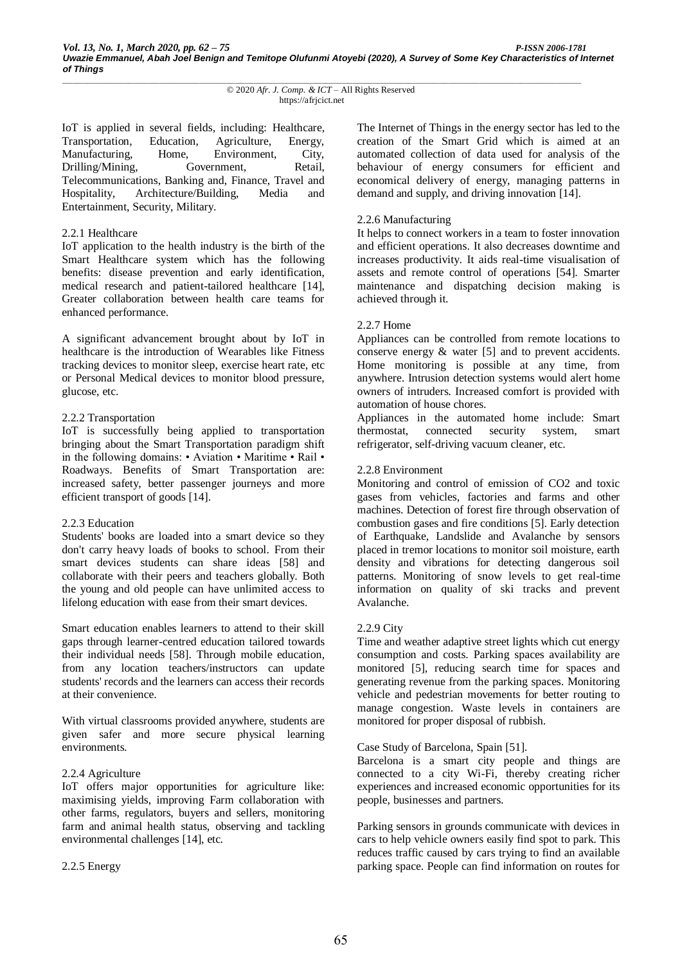IoT is applied in several fields, including: Healthcare, Transportation, Education, Agriculture, Energy, Manufacturing, Home, Environment, City, Drilling/Mining, Government, Retail, Telecommunications, Banking and, Finance, Travel and Hospitality, Architecture/Building, Media and Entertainment, Security, Military.

#### 2.2.1 Healthcare

IoT application to the health industry is the birth of the Smart Healthcare system which has the following benefits: disease prevention and early identification, medical research and patient-tailored healthcare [14], Greater collaboration between health care teams for enhanced performance.

A significant advancement brought about by IoT in healthcare is the introduction of Wearables like Fitness tracking devices to monitor sleep, exercise heart rate, etc or Personal Medical devices to monitor blood pressure, glucose, etc.

#### 2.2.2 Transportation

IoT is successfully being applied to transportation bringing about the Smart Transportation paradigm shift in the following domains: • Aviation • Maritime • Rail • Roadways. Benefits of Smart Transportation are: increased safety, better passenger journeys and more efficient transport of goods [14].

#### 2.2.3 Education

Students' books are loaded into a smart device so they don't carry heavy loads of books to school. From their smart devices students can share ideas [58] and collaborate with their peers and teachers globally. Both the young and old people can have unlimited access to lifelong education with ease from their smart devices.

Smart education enables learners to attend to their skill gaps through learner-centred education tailored towards their individual needs [58]. Through mobile education, from any location teachers/instructors can update students' records and the learners can access their records at their convenience.

With virtual classrooms provided anywhere, students are given safer and more secure physical learning environments.

#### 2.2.4 Agriculture

IoT offers major opportunities for agriculture like: maximising yields, improving Farm collaboration with other farms, regulators, buyers and sellers, monitoring farm and animal health status, observing and tackling environmental challenges [14], etc.

2.2.5 Energy

The Internet of Things in the energy sector has led to the creation of the Smart Grid which is aimed at an automated collection of data used for analysis of the behaviour of energy consumers for efficient and economical delivery of energy, managing patterns in demand and supply, and driving innovation [14].

#### 2.2.6 Manufacturing

It helps to connect workers in a team to foster innovation and efficient operations. It also decreases downtime and increases productivity. It aids real-time visualisation of assets and remote control of operations [54]. Smarter maintenance and dispatching decision making is achieved through it.

#### 2.2.7 Home

Appliances can be controlled from remote locations to conserve energy & water [5] and to prevent accidents. Home monitoring is possible at any time, from anywhere. Intrusion detection systems would alert home owners of intruders. Increased comfort is provided with automation of house chores.

Appliances in the automated home include: Smart thermostat, connected security system, smart refrigerator, self-driving vacuum cleaner, etc.

#### 2.2.8 Environment

Monitoring and control of emission of CO2 and toxic gases from vehicles, factories and farms and other machines. Detection of forest fire through observation of combustion gases and fire conditions [5]. Early detection of Earthquake, Landslide and Avalanche by sensors placed in tremor locations to monitor soil moisture, earth density and vibrations for detecting dangerous soil patterns. Monitoring of snow levels to get real-time information on quality of ski tracks and prevent Avalanche.

#### 2.2.9 City

Time and weather adaptive street lights which cut energy consumption and costs. Parking spaces availability are monitored [5], reducing search time for spaces and generating revenue from the parking spaces. Monitoring vehicle and pedestrian movements for better routing to manage congestion. Waste levels in containers are monitored for proper disposal of rubbish.

#### Case Study of Barcelona, Spain [51].

Barcelona is a smart city people and things are connected to a city Wi-Fi, thereby creating richer experiences and increased economic opportunities for its people, businesses and partners.

Parking sensors in grounds communicate with devices in cars to help vehicle owners easily find spot to park. This reduces traffic caused by cars trying to find an available parking space. People can find information on routes for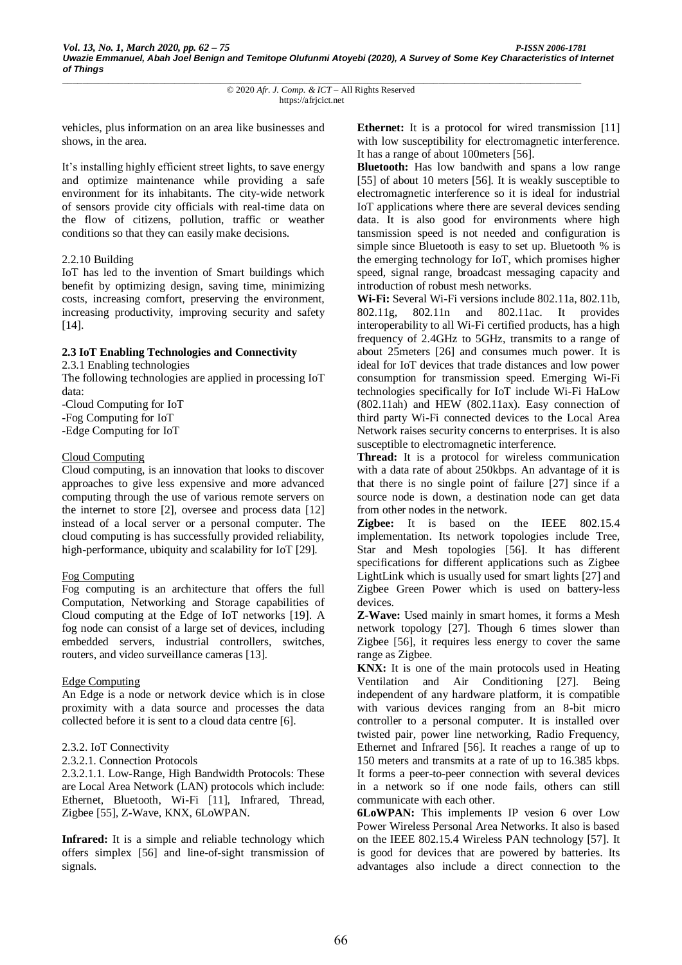vehicles, plus information on an area like businesses and shows, in the area.

It's installing highly efficient street lights, to save energy and optimize maintenance while providing a safe environment for its inhabitants. The city-wide network of sensors provide city officials with real-time data on the flow of citizens, pollution, traffic or weather conditions so that they can easily make decisions.

#### 2.2.10 Building

IoT has led to the invention of Smart buildings which benefit by optimizing design, saving time, minimizing costs, increasing comfort, preserving the environment, increasing productivity, improving security and safety [14].

## **2.3 IoT Enabling Technologies and Connectivity**

2.3.1 Enabling technologies

The following technologies are applied in processing IoT data:

-Cloud Computing for IoT

-Fog Computing for IoT

-Edge Computing for IoT

## Cloud Computing

Cloud computing, is an innovation that looks to discover approaches to give less expensive and more advanced computing through the use of various remote servers on the internet to store [2], oversee and process data [12] instead of a local server or a personal computer. The cloud computing is has successfully provided reliability, high-performance, ubiquity and scalability for IoT [29].

# Fog Computing

Fog computing is an architecture that offers the full Computation, Networking and Storage capabilities of Cloud computing at the Edge of IoT networks [19]. A fog node can consist of a large set of devices, including embedded servers, industrial controllers, switches, routers, and video surveillance cameras [13].

# Edge Computing

An Edge is a node or network device which is in close proximity with a data source and processes the data collected before it is sent to a cloud data centre [6].

# 2.3.2. IoT Connectivity

2.3.2.1. Connection Protocols

2.3.2.1.1. Low-Range, High Bandwidth Protocols: These are Local Area Network (LAN) protocols which include: Ethernet, Bluetooth, Wi-Fi [11], Infrared, Thread, Zigbee [55], Z-Wave, KNX, 6LoWPAN.

Infrared: It is a simple and reliable technology which offers simplex [56] and line-of-sight transmission of signals.

**Ethernet:** It is a protocol for wired transmission [11] with low susceptibility for electromagnetic interference. It has a range of about 100meters [56].

**Bluetooth:** Has low bandwith and spans a low range [55] of about 10 meters [56]. It is weakly susceptible to electromagnetic interference so it is ideal for industrial IoT applications where there are several devices sending data. It is also good for environments where high tansmission speed is not needed and configuration is simple since Bluetooth is easy to set up. Bluetooth % is the emerging technology for IoT, which promises higher speed, signal range, broadcast messaging capacity and introduction of robust mesh networks.

**Wi-Fi:** Several Wi-Fi versions include 802.11a, 802.11b, 802.11g, 802.11n and 802.11ac. It provides interoperability to all Wi-Fi certified products, has a high frequency of 2.4GHz to 5GHz, transmits to a range of about 25meters [26] and consumes much power. It is ideal for IoT devices that trade distances and low power consumption for transmission speed. Emerging Wi-Fi technologies specifically for IoT include Wi-Fi HaLow (802.11ah) and HEW (802.11ax). Easy connection of third party Wi-Fi connected devices to the Local Area Network raises security concerns to enterprises. It is also susceptible to electromagnetic interference.

**Thread:** It is a protocol for wireless communication with a data rate of about 250kbps. An advantage of it is that there is no single point of failure [27] since if a source node is down, a destination node can get data from other nodes in the network.

**Zigbee:** It is based on the IEEE 802.15.4 implementation. Its network topologies include Tree, Star and Mesh topologies [56]. It has different specifications for different applications such as Zigbee LightLink which is usually used for smart lights [27] and Zigbee Green Power which is used on battery-less devices.

**Z-Wave:** Used mainly in smart homes, it forms a Mesh network topology [27]. Though 6 times slower than Zigbee [56], it requires less energy to cover the same range as Zigbee.

**KNX:** It is one of the main protocols used in Heating Ventilation and Air Conditioning [27]. Being independent of any hardware platform, it is compatible with various devices ranging from an 8-bit micro controller to a personal computer. It is installed over twisted pair, power line networking, Radio Frequency, Ethernet and Infrared [56]. It reaches a range of up to 150 meters and transmits at a rate of up to 16.385 kbps. It forms a peer-to-peer connection with several devices in a network so if one node fails, others can still communicate with each other.

**6LoWPAN:** This implements IP vesion 6 over Low Power Wireless Personal Area Networks. It also is based on the IEEE 802.15.4 Wireless PAN technology [57]. It is good for devices that are powered by batteries. Its advantages also include a direct connection to the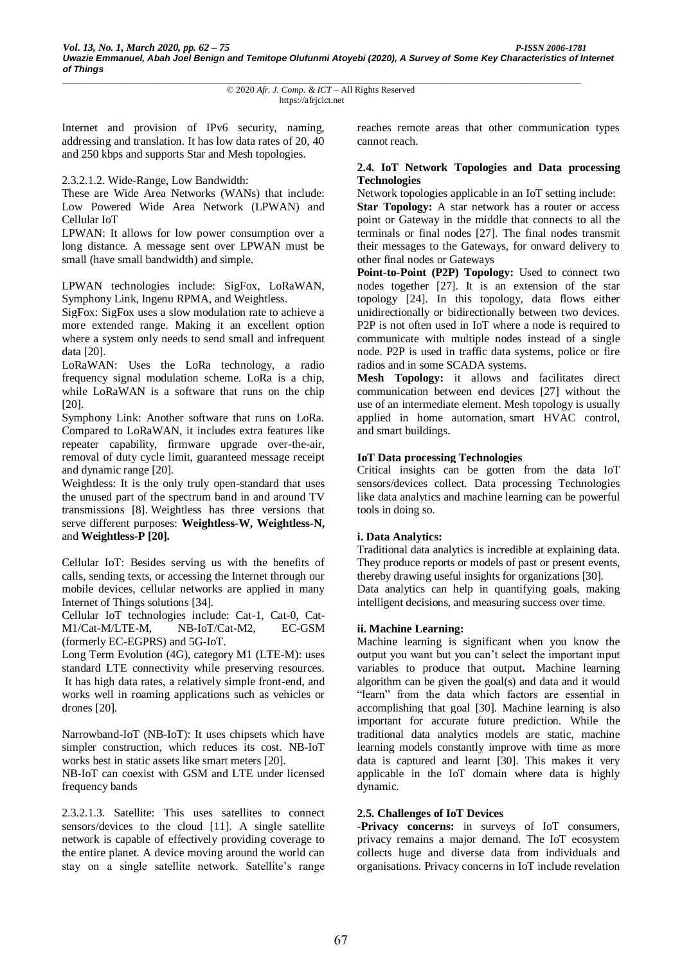Internet and provision of IPv6 security, naming, addressing and translation. It has low data rates of 20, 40 and 250 kbps and supports Star and Mesh topologies.

2.3.2.1.2. Wide-Range, Low Bandwidth:

These are Wide Area Networks (WANs) that include: Low Powered Wide Area Network (LPWAN) and Cellular IoT

LPWAN: It allows for low power consumption over a long distance. A message sent over LPWAN must be small (have small bandwidth) and simple.

LPWAN technologies include: SigFox, LoRaWAN, Symphony Link, Ingenu RPMA, and Weightless.

SigFox: SigFox uses a slow modulation rate to achieve a more extended range. Making it an excellent option where a system only needs to send small and infrequent data [20].

LoRaWAN: Uses the LoRa technology, a radio frequency signal modulation scheme. LoRa is a chip, while LoRaWAN is a software that runs on the chip [20].

Symphony Link: Another software that runs on LoRa. Compared to LoRaWAN, it includes extra features like repeater capability, firmware upgrade over-the-air, removal of duty cycle limit, guaranteed message receipt and dynamic range [20].

Weightless: It is the only truly open-standard that uses the unused part of the spectrum band in and around TV transmissions [8]. Weightless has three versions that serve different purposes: **Weightless-W, Weightless-N,**  and **Weightless-P [20].**

Cellular IoT: Besides serving us with the benefits of calls, sending texts, or accessing the Internet through our mobile devices, cellular networks are applied in many Internet of Things solutions [34].

Cellular IoT technologies include: Cat-1, Cat-0, Cat-M1/Cat-M/LTE-M, NB-IoT/Cat-M2, EC-GSM (formerly EC-EGPRS) and 5G-IoT.

Long Term Evolution (4G), category M1 (LTE-M): uses standard LTE connectivity while preserving resources. It has high data rates, a relatively simple front-end, and works well in roaming applications such as vehicles or drones [20].

Narrowband-IoT (NB-IoT): It uses chipsets which have simpler construction, which reduces its cost. NB-IoT works best in static assets like smart meters [20]. NB-IoT can coexist with GSM and LTE under licensed frequency bands

2.3.2.1.3. Satellite: This uses satellites to connect sensors/devices to the cloud [11]. A single satellite network is capable of effectively providing coverage to the entire planet. A device moving around the world can stay on a single satellite network. Satellite's range reaches remote areas that other communication types cannot reach.

## **2.4. IoT Network Topologies and Data processing Technologies**

Network topologies applicable in an IoT setting include: **Star Topology:** A star network has a router or access point or Gateway in the middle that connects to all the terminals or final nodes [27]. The final nodes transmit their messages to the Gateways, for onward delivery to other final nodes or Gateways

**Point-to-Point (P2P) Topology:** Used to connect two nodes together [27]. It is an extension of the star topology [24]. In this topology, data flows either unidirectionally or bidirectionally between two devices. P2P is not often used in IoT where a node is required to communicate with multiple nodes instead of a single node. P2P is used in traffic data systems, police or fire radios and in some SCADA systems.

**Mesh Topology:** it allows and facilitates direct communication between end devices [27] without the use of an intermediate element. Mesh topology is usually applied in home automation, smart HVAC control, and smart buildings.

## **IoT Data processing Technologies**

Critical insights can be gotten from the data IoT sensors/devices collect. Data processing Technologies like data analytics and machine learning can be powerful tools in doing so.

#### **i. Data Analytics:**

Traditional data analytics is incredible at explaining data. They produce reports or models of past or present events, thereby drawing useful insights for organizations [30]. Data analytics can help in quantifying goals, making intelligent decisions, and measuring success over time.

#### **ii. Machine Learning:**

Machine learning is significant when you know the output you want but you can't select the important input variables to produce that output**.** Machine learning algorithm can be given the goal(s) and data and it would "learn" from the data which factors are essential in accomplishing that goal [30]. Machine learning is also important for accurate future prediction. While the traditional data analytics models are static, machine learning models constantly improve with time as more data is captured and learnt [30]. This makes it very applicable in the IoT domain where data is highly dynamic.

# **2.5. Challenges of IoT Devices**

**-Privacy concerns:** in surveys of IoT consumers, privacy remains a major demand. The IoT ecosystem collects huge and diverse data from individuals and organisations. Privacy concerns in IoT include revelation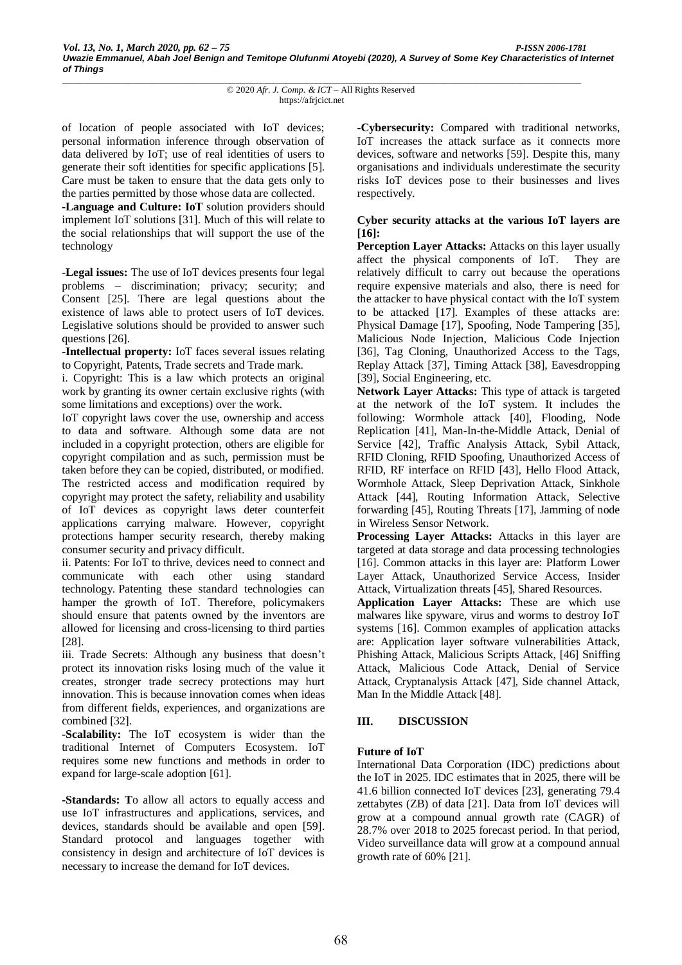of location of people associated with IoT devices; personal information inference through observation of data delivered by IoT; use of real identities of users to generate their soft identities for specific applications [5]. Care must be taken to ensure that the data gets only to the parties permitted by those whose data are collected.

**-Language and Culture: IoT** solution providers should implement IoT solutions [31]. Much of this will relate to the social relationships that will support the use of the technology

**-Legal issues:** The use of IoT devices presents four legal problems – discrimination; privacy; security; and Consent [25]. There are legal questions about the existence of laws able to protect users of IoT devices. Legislative solutions should be provided to answer such questions [26].

**-Intellectual property:** IoT faces several issues relating to Copyright, Patents, Trade secrets and Trade mark.

i. Copyright: This is a law which protects an original work by granting its owner certain exclusive rights (with some limitations and exceptions) over the work.

IoT copyright laws cover the use, ownership and access to data and software. Although some data are not included in a copyright protection, others are eligible for copyright compilation and as such, permission must be taken before they can be copied, distributed, or modified. The restricted access and modification required by copyright may protect the safety, reliability and usability of IoT devices as copyright laws deter counterfeit applications carrying malware. However, copyright protections hamper security research, thereby making consumer security and privacy difficult.

ii. Patents: For IoT to thrive, devices need to connect and communicate with each other using standard technology. Patenting these standard technologies can hamper the growth of IoT. Therefore, policymakers should ensure that patents owned by the inventors are allowed for licensing and cross-licensing to third parties [28].

iii. Trade Secrets: Although any business that doesn't protect its innovation risks losing much of the value it creates, stronger trade secrecy protections may hurt innovation. This is because innovation comes when ideas from different fields, experiences, and organizations are combined [32].

**-Scalability:** The IoT ecosystem is wider than the traditional Internet of Computers Ecosystem. IoT requires some new functions and methods in order to expand for large-scale adoption [61].

**-Standards: T**o allow all actors to equally access and use IoT infrastructures and applications, services, and devices, standards should be available and open [59]. Standard protocol and languages together with consistency in design and architecture of IoT devices is necessary to increase the demand for IoT devices.

**-Cybersecurity:** Compared with traditional networks, IoT increases the attack surface as it connects more devices, software and networks [59]. Despite this, many organisations and individuals underestimate the security risks IoT devices pose to their businesses and lives respectively.

## **Cyber security attacks at the various IoT layers are [16]:**

**Perception Layer Attacks:** Attacks on this layer usually affect the physical components of IoT. They are relatively difficult to carry out because the operations require expensive materials and also, there is need for the attacker to have physical contact with the IoT system to be attacked [17]. Examples of these attacks are: Physical Damage [17], Spoofing, Node Tampering [35], Malicious Node Injection, Malicious Code Injection [36], Tag Cloning, Unauthorized Access to the Tags, Replay Attack [37], Timing Attack [38], Eavesdropping [39], Social Engineering, etc.

**Network Layer Attacks:** This type of attack is targeted at the network of the IoT system. It includes the following: Wormhole attack [40], Flooding, Node Replication [41], Man-In-the-Middle Attack, Denial of Service [42], Traffic Analysis Attack, Sybil Attack, RFID Cloning, RFID Spoofing, Unauthorized Access of RFID, RF interface on RFID [43], Hello Flood Attack, Wormhole Attack, Sleep Deprivation Attack, Sinkhole Attack [44], Routing Information Attack, Selective forwarding [45], Routing Threats [17], Jamming of node in Wireless Sensor Network.

**Processing Layer Attacks:** Attacks in this layer are targeted at data storage and data processing technologies [16]. Common attacks in this layer are: Platform Lower Layer Attack, Unauthorized Service Access, Insider Attack, Virtualization threats [45], Shared Resources.

**Application Layer Attacks:** These are which use malwares like spyware, virus and worms to destroy IoT systems [16]. Common examples of application attacks are: Application layer software vulnerabilities Attack, Phishing Attack, Malicious Scripts Attack, [46] Sniffing Attack, Malicious Code Attack, Denial of Service Attack, Cryptanalysis Attack [47], Side channel Attack, Man In the Middle Attack [48].

# **III. DISCUSSION**

# **Future of IoT**

International Data Corporation (IDC) predictions about the IoT in 2025. IDC estimates that in 2025, there will be 41.6 billion connected IoT devices [23], generating 79.4 zettabytes (ZB) of data [21]. Data from IoT devices will grow at a compound annual growth rate (CAGR) of 28.7% over 2018 to 2025 forecast period. In that period, Video surveillance data will grow at a compound annual growth rate of 60% [21].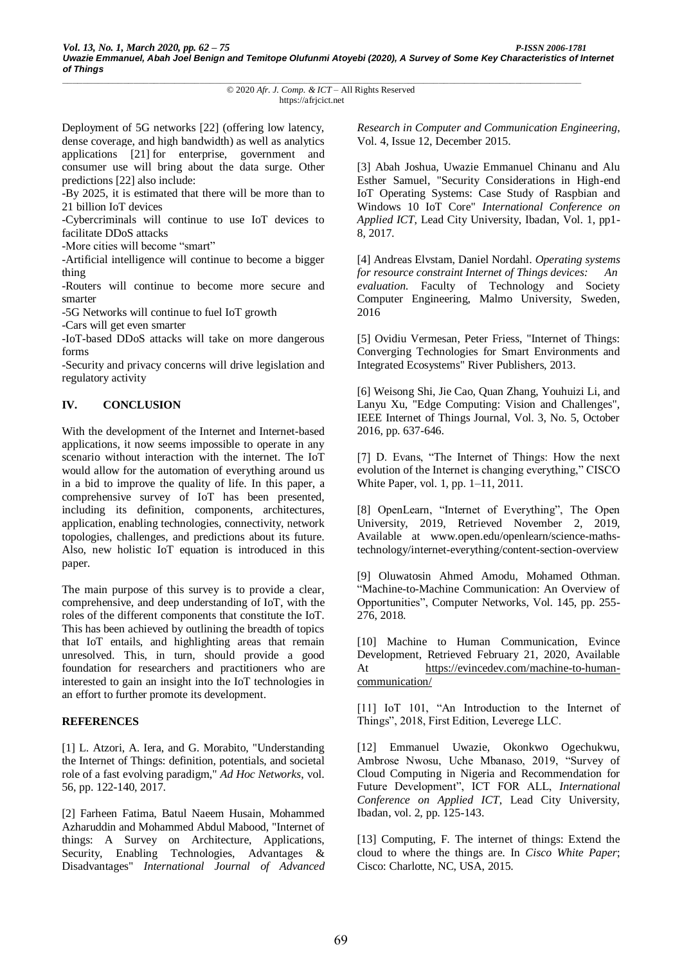Deployment of 5G networks [22] (offering low latency, dense coverage, and high bandwidth) as well as analytics applications [21] for enterprise, government and consumer use will bring about the data surge. Other predictions [22] also include:

-By 2025, it is estimated that there will be more than to 21 billion IoT devices

-Cybercriminals will continue to use IoT devices to facilitate DDoS attacks

-More cities will become "smart"

-Artificial intelligence will continue to become a bigger thing

-Routers will continue to become more secure and smarter

-5G Networks will continue to fuel IoT growth

-Cars will get even smarter

-IoT-based DDoS attacks will take on more dangerous forms

-Security and privacy concerns will drive legislation and regulatory activity

# **IV. CONCLUSION**

With the development of the Internet and Internet-based applications, it now seems impossible to operate in any scenario without interaction with the internet. The IoT would allow for the automation of everything around us in a bid to improve the quality of life. In this paper, a comprehensive survey of IoT has been presented, including its definition, components, architectures, application, enabling technologies, connectivity, network topologies, challenges, and predictions about its future. Also, new holistic IoT equation is introduced in this paper.

The main purpose of this survey is to provide a clear, comprehensive, and deep understanding of IoT, with the roles of the different components that constitute the IoT. This has been achieved by outlining the breadth of topics that IoT entails, and highlighting areas that remain unresolved. This, in turn, should provide a good foundation for researchers and practitioners who are interested to gain an insight into the IoT technologies in an effort to further promote its development.

#### **REFERENCES**

[1] L. Atzori, A. Iera, and G. Morabito, "Understanding the Internet of Things: definition, potentials, and societal role of a fast evolving paradigm," *Ad Hoc Networks*, vol. 56, pp. 122-140, 2017.

[2] Farheen Fatima, Batul Naeem Husain, Mohammed Azharuddin and Mohammed Abdul Mabood, "Internet of things: A Survey on Architecture, Applications, Security, Enabling Technologies, Advantages & Disadvantages" *International Journal of Advanced*  *Research in Computer and Communication Engineering*, Vol. 4, Issue 12, December 2015.

[3] Abah Joshua, Uwazie Emmanuel Chinanu and Alu Esther Samuel, "Security Considerations in High-end IoT Operating Systems: Case Study of Raspbian and Windows 10 IoT Core" *International Conference on Applied ICT*, Lead City University, Ibadan, Vol. 1, pp1- 8, 2017.

[4] Andreas Elvstam, Daniel Nordahl. *Operating systems for resource constraint Internet of Things devices: An evaluation*. Faculty of Technology and Society Computer Engineering, Malmo University, Sweden, 2016

[5] Ovidiu Vermesan, Peter Friess, "Internet of Things: Converging Technologies for Smart Environments and Integrated Ecosystems" River Publishers, 2013.

[6] Weisong Shi, Jie Cao, Quan Zhang, Youhuizi Li, and Lanyu Xu, "Edge Computing: Vision and Challenges", IEEE Internet of Things Journal, Vol. 3, No. 5, October 2016, pp. 637-646.

[7] D. Evans, "The Internet of Things: How the next evolution of the Internet is changing everything," CISCO White Paper, vol. 1, pp. 1–11, 2011.

[8] OpenLearn, "Internet of Everything", The Open University, 2019, Retrieved November 2, 2019, Available at www.open.edu/openlearn/science-mathstechnology/internet-everything/content-section-overview

[9] [Oluwatosin Ahmed](https://www.sciencedirect.com/science/article/abs/pii/S138912861830851X#!) Amodu, [Mohamed](https://www.sciencedirect.com/science/article/abs/pii/S138912861830851X#!) Othman. "Machine-to-Machine Communication: An Overview of Opportunities", Computer Networks, Vol. 145, pp. 255- 276, 2018.

[10] Machine to Human Communication, Evince Development, Retrieved February 21, 2020, Available At [https://evincedev.com/machine-to-human](https://evincedev.com/machine-to-human-communication/)[communication/](https://evincedev.com/machine-to-human-communication/)

[11] IoT 101, "An Introduction to the Internet of Things", 2018, First Edition, Leverege LLC.

[12] Emmanuel Uwazie, Okonkwo Ogechukwu, Ambrose Nwosu, Uche Mbanaso, 2019, "Survey of Cloud Computing in Nigeria and Recommendation for Future Development", ICT FOR ALL, *International Conference on Applied ICT*, Lead City University, Ibadan, vol. 2, pp. 125-143.

[13] Computing, F. The internet of things: Extend the cloud to where the things are. In *Cisco White Paper*; Cisco: Charlotte, NC, USA, 2015.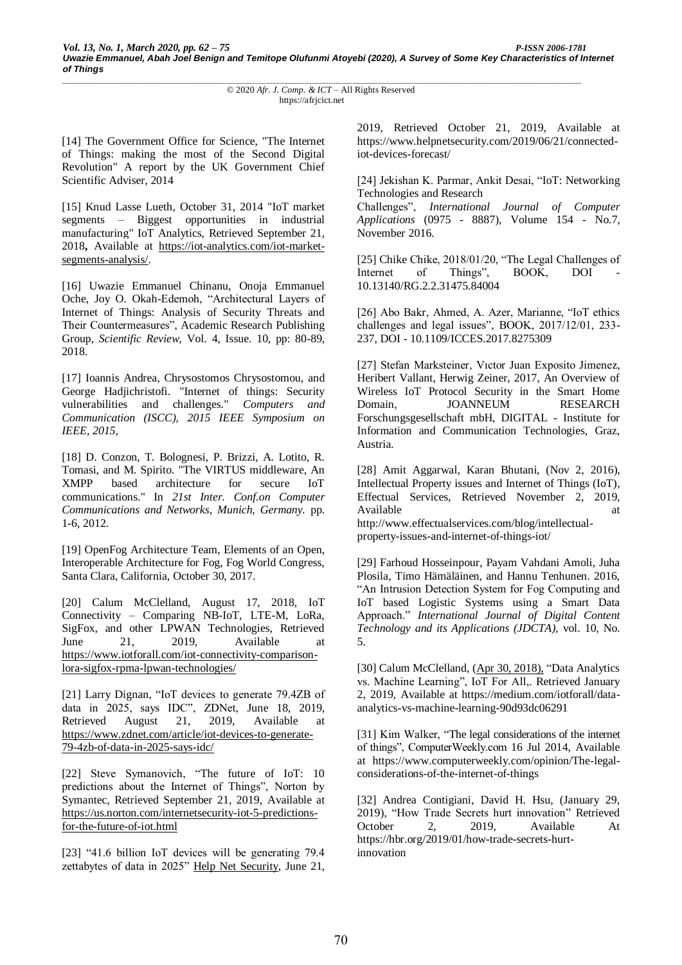[14] The Government Office for Science, "The Internet" of Things: making the most of the Second Digital Revolution" A report by the UK Government Chief Scientific Adviser, 2014

[15] Knud Lasse Lueth, October 31, 2014 "IoT market segments – Biggest opportunities in industrial manufacturing" IoT Analytics, Retrieved September 21, 2018**,** Available at [https://iot-analytics.com/iot-market](https://iot-analytics.com/iot-market-segments-analysis/)[segments-analysis/.](https://iot-analytics.com/iot-market-segments-analysis/)

[16] Uwazie Emmanuel Chinanu, Onoja Emmanuel Oche, Joy O. Okah-Edemoh, "Architectural Layers of Internet of Things: Analysis of Security Threats and Their Countermeasures", Academic Research Publishing Group, *Scientific Review*, Vol. 4, Issue. 10, pp: 80-89, 2018.

[17] Ioannis Andrea, Chrysostomos Chrysostomou, and George Hadjichristofi. "Internet of things: Security vulnerabilities and challenges." *Computers and Communication (ISCC), 2015 IEEE Symposium on IEEE, 2015,* 

[18] D. Conzon, T. Bolognesi, P. Brizzi, A. Lotito, R. Tomasi, and M. Spirito. "The VIRTUS middleware, An XMPP based architecture for secure IoT communications." In *21st Inter. Conf.on Computer Communications and Networks, Munich, Germany.* pp. 1-6, 2012.

[19] OpenFog Architecture Team, Elements of an Open, Interoperable Architecture for Fog, Fog World Congress, Santa Clara, California, October 30, 2017.

[20] Calum McClelland, August 17, 2018, IoT Connectivity – Comparing NB-IoT, LTE-M, LoRa, SigFox, and other LPWAN Technologies, Retrieved June 21, 2019, Available at [https://www.iotforall.com/iot-connectivity-comparison](https://www.iotforall.com/iot-connectivity-comparison-lora-sigfox-rpma-lpwan-technologies/)[lora-sigfox-rpma-lpwan-technologies/](https://www.iotforall.com/iot-connectivity-comparison-lora-sigfox-rpma-lpwan-technologies/)

[21] Larry Dignan, "IoT devices to generate 79.4ZB of data in 2025, says IDC", ZDNet, June 18, 2019, Retrieved August 21, 2019, Available at [https://www.zdnet.com/article/iot-devices-to-generate-](https://www.zdnet.com/article/iot-devices-to-generate-79-4zb-of-data-in-2025-says-idc/)[79-4zb-of-data-in-2025-says-idc/](https://www.zdnet.com/article/iot-devices-to-generate-79-4zb-of-data-in-2025-says-idc/)

[22] Steve Symanovich, "The future of IoT: 10 predictions about the Internet of Things", Norton by Symantec, Retrieved September 21, 2019, Available at [https://us.norton.com/internetsecurity-iot-5-predictions](https://us.norton.com/internetsecurity-iot-5-predictions-for-the-future-of-iot.html)[for-the-future-of-iot.html](https://us.norton.com/internetsecurity-iot-5-predictions-for-the-future-of-iot.html)

[23] "41.6 billion IoT devices will be generating 79.4 zettabytes of data in 2025" [Help Net Security,](https://www.helpnetsecurity.com/author/helpnet/) June 21, 2019, Retrieved October 21, 2019, Available at https://www.helpnetsecurity.com/2019/06/21/connectediot-devices-forecast/

[24] Jekishan K. Parmar, Ankit Desai, "IoT: Networking Technologies and Research

Challenges", *International Journal of Computer Applications* (0975 - 8887), Volume 154 - No.7, November 2016.

[25] Chike Chike, 2018/01/20, "The Legal Challenges of Internet of Things", BOOK, DOI 10.13140/RG.2.2.31475.84004

[26] Abo Bakr, Ahmed, A. Azer, Marianne, "IoT ethics challenges and legal issues", BOOK, 2017/12/01, 233- 237, DOI - 10.1109/ICCES.2017.8275309

[27] Stefan Marksteiner, Vıctor Juan Exposito Jimenez, Heribert Vallant, Herwig Zeiner, 2017, An Overview of Wireless IoT Protocol Security in the Smart Home Domain, JOANNEUM RESEARCH Forschungsgesellschaft mbH, DIGITAL - Institute for Information and Communication Technologies, Graz, Austria.

[28] Amit Aggarwal, Karan Bhutani, (Nov 2, 2016), Intellectual Property issues and Internet of Things (IoT), Effectual Services, Retrieved November 2, 2019, Available at a state of  $\alpha$  at a state of  $\alpha$  at a state of  $\alpha$  at a state of  $\alpha$ http://www.effectualservices.com/blog/intellectualproperty-issues-and-internet-of-things-iot/

[29] Farhoud Hosseinpour, Payam Vahdani Amoli, Juha Plosila, Timo Hämäläinen, and Hannu Tenhunen. 2016, "An Intrusion Detection System for Fog Computing and IoT based Logistic Systems using a Smart Data Approach." *International Journal of Digital Content Technology and its Applications (JDCTA),* vol. 10, No. 5.

[30] Calum McClelland, [\(Apr 30, 2018\)](https://medium.com/iotforall/data-analytics-vs-machine-learning-90d93dc06291?source=post_page-----90d93dc06291----------------------), "Data Analytics vs. Machine Learning", IoT For All,. Retrieved January 2, 2019, Available at https://medium.com/iotforall/dataanalytics-vs-machine-learning-90d93dc06291

[31] Kim Walker, "The legal considerations of the internet of things", ComputerWeekly.com 16 Jul 2014, Available at https://www.computerweekly.com/opinion/The-legalconsiderations-of-the-internet-of-things

[32] Andrea Contigiani, David H. Hsu, (January 29, 2019), "How Trade Secrets hurt innovation" Retrieved October 2, 2019, Available At https://hbr.org/2019/01/how-trade-secrets-hurtinnovation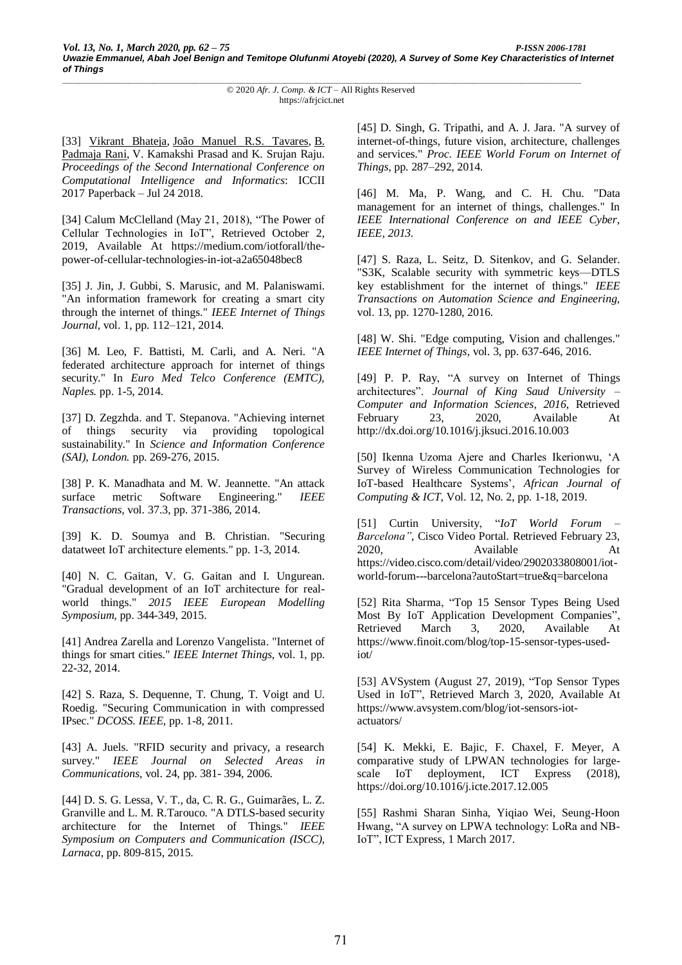[33] [Vikrant Bhateja,](https://www.amazon.ca/s/ref=dp_byline_sr_book_1?ie=UTF8&field-author=Vikrant+Bhateja&search-alias=books-ca) [João Manuel R.S. Tavares,](https://www.amazon.ca/s/ref=dp_byline_sr_book_2?ie=UTF8&field-author=Jo%C3%A3o+Manuel+R.S.+Tavares&search-alias=books-ca) [B.](https://www.amazon.ca/s/ref=dp_byline_sr_book_3?ie=UTF8&field-author=B.+Padmaja+Rani&search-alias=books-ca)  [Padmaja Rani,](https://www.amazon.ca/s/ref=dp_byline_sr_book_3?ie=UTF8&field-author=B.+Padmaja+Rani&search-alias=books-ca) V. Kamakshi Prasad and K. Srujan Raju. *Proceedings of the Second International Conference on Computational Intelligence and Informatics*: ICCII 2017 Paperback – Jul 24 2018.

[34] [Calum McClelland](https://www.iotforall.com/author/calummcclelland/) (May 21, 2018), "The Power of Cellular Technologies in IoT", Retrieved October 2, 2019, Available At https://medium.com/iotforall/thepower-of-cellular-technologies-in-iot-a2a65048bec8

[35] J. Jin, J. Gubbi, S. Marusic, and M. Palaniswami. "An information framework for creating a smart city through the internet of things." *IEEE Internet of Things Journal,* vol. 1, pp. 112–121, 2014.

[36] M. Leo, F. Battisti, M. Carli, and A. Neri. "A federated architecture approach for internet of things security." In *Euro Med Telco Conference (EMTC), Naples.* pp. 1-5, 2014.

[37] D. Zegzhda. and T. Stepanova. "Achieving internet of things security via providing topological sustainability." In *Science and Information Conference (SAI), London.* pp. 269-276, 2015.

[38] P. K. Manadhata and M. W. Jeannette. "An attack surface metric Software Engineering." *IEEE Transactions,* vol. 37.3, pp. 371-386, 2014.

[39] K. D. Soumya and B. Christian. "Securing datatweet IoT architecture elements." pp. 1-3, 2014.

[40] N. C. Gaitan, V. G. Gaitan and I. Ungurean. "Gradual development of an IoT architecture for realworld things." *2015 IEEE European Modelling Symposium,* pp. 344-349, 2015.

[41] Andrea Zarella and Lorenzo Vangelista. "Internet of things for smart cities." *IEEE Internet Things,* vol. 1, pp. 22-32, 2014.

[42] S. Raza, S. Dequenne, T. Chung, T. Voigt and U. Roedig. "Securing Communication in with compressed IPsec." *DCOSS. IEEE,* pp. 1-8, 2011.

[43] A. Juels. "RFID security and privacy, a research survey." *IEEE Journal on Selected Areas in Communications,* vol. 24, pp. 381- 394, 2006.

[44] D. S. G. Lessa, V. T., da, C. R. G., Guimarães, L. Z. Granville and L. M. R.Tarouco. "A DTLS-based security architecture for the Internet of Things." *IEEE Symposium on Computers and Communication (ISCC), Larnaca,* pp. 809-815, 2015.

[45] D. Singh, G. Tripathi, and A. J. Jara. "A survey of internet-of-things, future vision, architecture, challenges and services." *Proc. IEEE World Forum on Internet of Things,* pp. 287–292, 2014.

[46] M. Ma, P. Wang, and C. H. Chu. "Data management for an internet of things, challenges." In *IEEE International Conference on and IEEE Cyber, IEEE, 2013.*

[47] S. Raza, L. Seitz, D. Sitenkov, and G. Selander. "S3K, Scalable security with symmetric keys—DTLS key establishment for the internet of things." *IEEE Transactions on Automation Science and Engineering,*  vol. 13, pp. 1270-1280, 2016.

[48] W. Shi. "Edge computing, Vision and challenges." *IEEE Internet of Things,* vol. 3, pp. 637-646, 2016.

[49] P. P. Ray, "A survey on Internet of Things architectures". *Journal of King Saud University – Computer and Information Sciences, 2016*, Retrieved February 23, 2020, Available At http://dx.doi.org/10.1016/j.jksuci.2016.10.003

[50] Ikenna Uzoma Ajere and Charles Ikerionwu, 'A Survey of Wireless Communication Technologies for IoT-based Healthcare Systems', *African Journal of Computing & ICT*, Vol. 12, No. 2, pp. 1-18, 2019.

[51] Curtin University, "*IoT World Forum – Barcelona"*, Cisco Video Portal*.* Retrieved February 23, 2020, Available At https://video.cisco.com/detail/video/2902033808001/iotworld-forum---barcelona?autoStart=true&q=barcelona

[52] Rita Sharma, "Top 15 Sensor Types Being Used Most By IoT Application Development Companies", Retrieved March 3, 2020, Available At https://www.finoit.com/blog/top-15-sensor-types-usediot/

[53] AVSystem (August 27, 2019), "Top Sensor Types Used in IoT", Retrieved March 3, 2020, Available At https://www.avsystem.com/blog/iot-sensors-iotactuators/

[54] K. Mekki, E. Bajic, F. Chaxel, F. Meyer, A comparative study of LPWAN technologies for largescale IoT deployment, ICT Express (2018), https://doi.org/10.1016/j.icte.2017.12.005

[55] Rashmi Sharan Sinha, Yiqiao Wei, Seung-Hoon Hwang, "A survey on LPWA technology: LoRa and NB-IoT", ICT Express, 1 March 2017.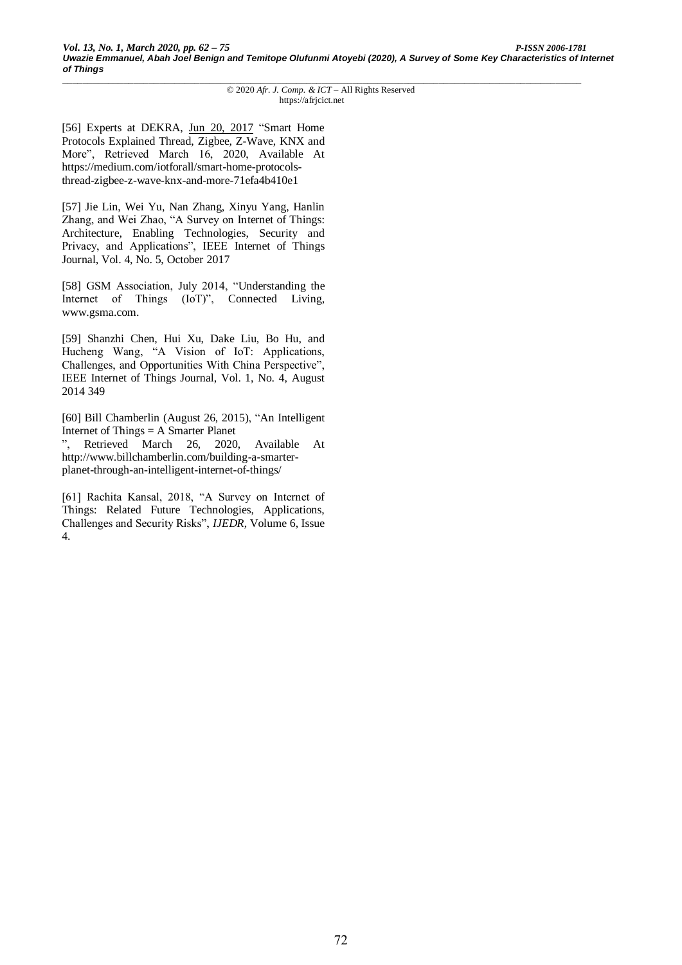[56] Experts at DEKRA, [Jun 20, 2017](https://medium.com/iotforall/smart-home-protocols-thread-zigbee-z-wave-knx-and-more-71efa4b410e1?source=post_page-----71efa4b410e1----------------------) "Smart Home Protocols Explained Thread, Zigbee, Z-Wave, KNX and More", Retrieved March 16, 2020, Available At https://medium.com/iotforall/smart-home-protocolsthread-zigbee-z-wave-knx-and-more-71efa4b410e1

[57] Jie Lin, Wei Yu, Nan Zhang, Xinyu Yang, Hanlin Zhang, and Wei Zhao, "A Survey on Internet of Things: Architecture, Enabling Technologies, Security and Privacy, and Applications", IEEE Internet of Things Journal, Vol. 4, No. 5, October 2017

[58] GSM Association, July 2014, "Understanding the Internet of Things (IoT)", Connected Living, www.gsma.com.

[59] Shanzhi Chen, Hui Xu, Dake Liu, Bo Hu, and Hucheng Wang, "A Vision of IoT: Applications, Challenges, and Opportunities With China Perspective", IEEE Internet of Things Journal, Vol. 1, No. 4, August 2014 349

[60] Bill Chamberlin (August 26, 2015), "An Intelligent Internet of Things = A Smarter Planet

", Retrieved March 26, 2020, Available At http://www.billchamberlin.com/building-a-smarterplanet-through-an-intelligent-internet-of-things/

[61] Rachita Kansal, 2018, "A Survey on Internet of Things: Related Future Technologies, Applications, Challenges and Security Risks", *IJEDR*, Volume 6, Issue 4.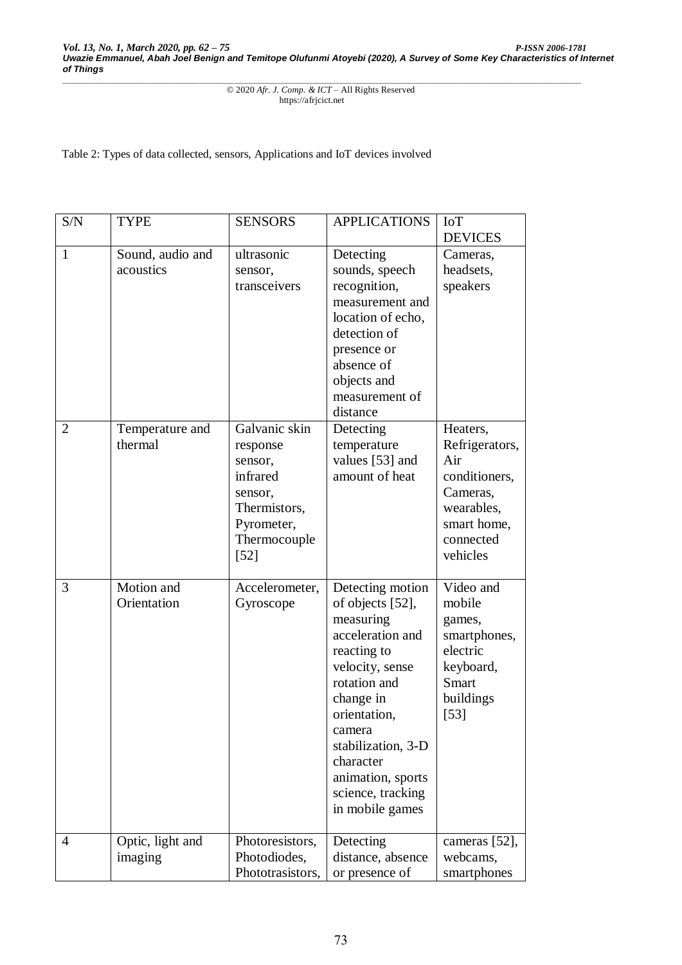Table 2: Types of data collected, sensors, Applications and IoT devices involved

| S/N            | <b>TYPE</b>                   | <b>SENSORS</b>                                                                                                      | <b>APPLICATIONS</b>                                                                                                                                                                                                                                            | <b>IoT</b><br><b>DEVICES</b>                                                                                         |
|----------------|-------------------------------|---------------------------------------------------------------------------------------------------------------------|----------------------------------------------------------------------------------------------------------------------------------------------------------------------------------------------------------------------------------------------------------------|----------------------------------------------------------------------------------------------------------------------|
| $\mathbf{1}$   | Sound, audio and<br>acoustics | ultrasonic<br>sensor,<br>transceivers                                                                               | Detecting<br>sounds, speech<br>recognition,<br>measurement and<br>location of echo,<br>detection of<br>presence or<br>absence of<br>objects and<br>measurement of<br>distance                                                                                  | Cameras,<br>headsets,<br>speakers                                                                                    |
| $\overline{2}$ | Temperature and<br>thermal    | Galvanic skin<br>response<br>sensor,<br>infrared<br>sensor,<br>Thermistors,<br>Pyrometer,<br>Thermocouple<br>$[52]$ | Detecting<br>temperature<br>values [53] and<br>amount of heat                                                                                                                                                                                                  | Heaters,<br>Refrigerators,<br>Air<br>conditioners,<br>Cameras,<br>wearables,<br>smart home,<br>connected<br>vehicles |
| 3              | Motion and<br>Orientation     | Accelerometer,<br>Gyroscope                                                                                         | Detecting motion<br>of objects [52],<br>measuring<br>acceleration and<br>reacting to<br>velocity, sense<br>rotation and<br>change in<br>orientation,<br>camera<br>stabilization, 3-D<br>character<br>animation, sports<br>science, tracking<br>in mobile games | Video and<br>mobile<br>games,<br>smartphones,<br>electric<br>keyboard,<br><b>Smart</b><br>buildings<br>$[53]$        |
| 4              | Optic, light and<br>imaging   | Photoresistors,<br>Photodiodes,<br>Phototrasistors,                                                                 | Detecting<br>distance, absence<br>or presence of                                                                                                                                                                                                               | cameras [52],<br>webcams,<br>smartphones                                                                             |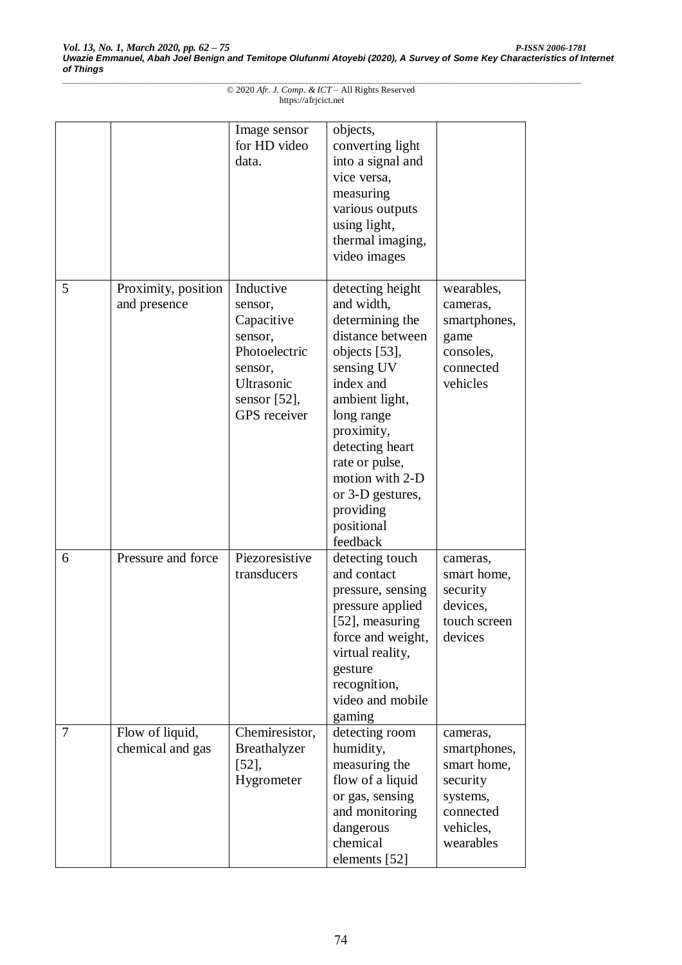|   |                                     | Image sensor<br>for HD video<br>data.                                                                                      | objects,<br>converting light<br>into a signal and<br>vice versa,<br>measuring<br>various outputs<br>using light,<br>thermal imaging,<br>video images                                                                                                                               |                                                                                                        |
|---|-------------------------------------|----------------------------------------------------------------------------------------------------------------------------|------------------------------------------------------------------------------------------------------------------------------------------------------------------------------------------------------------------------------------------------------------------------------------|--------------------------------------------------------------------------------------------------------|
| 5 | Proximity, position<br>and presence | Inductive<br>sensor,<br>Capacitive<br>sensor,<br>Photoelectric<br>sensor,<br>Ultrasonic<br>sensor $[52]$ ,<br>GPS receiver | detecting height<br>and width,<br>determining the<br>distance between<br>objects [53],<br>sensing UV<br>index and<br>ambient light,<br>long range<br>proximity,<br>detecting heart<br>rate or pulse,<br>motion with 2-D<br>or 3-D gestures,<br>providing<br>positional<br>feedback | wearables,<br>cameras,<br>smartphones,<br>game<br>consoles,<br>connected<br>vehicles                   |
| 6 | Pressure and force                  | Piezoresistive<br>transducers                                                                                              | detecting touch<br>and contact<br>pressure, sensing<br>pressure applied<br>$[52]$ , measuring<br>force and weight,<br>virtual reality,<br>gesture<br>recognition,<br>video and mobile<br>gaming                                                                                    | cameras,<br>smart home,<br>security<br>devices,<br>touch screen<br>devices                             |
| 7 | Flow of liquid,<br>chemical and gas | Chemiresistor,<br>Breathalyzer<br>$[52]$ ,<br>Hygrometer                                                                   | detecting room<br>humidity,<br>measuring the<br>flow of a liquid<br>or gas, sensing<br>and monitoring<br>dangerous<br>chemical<br>elements [52]                                                                                                                                    | cameras,<br>smartphones,<br>smart home,<br>security<br>systems,<br>connected<br>vehicles,<br>wearables |